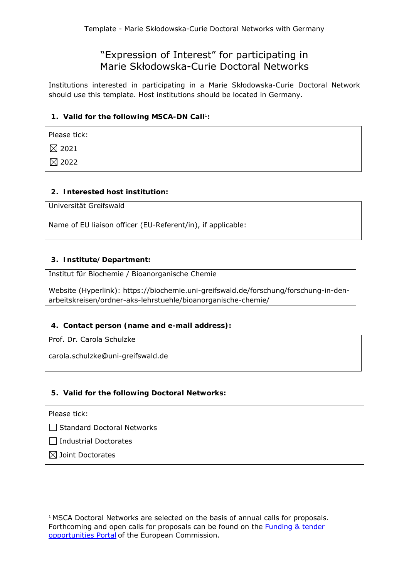# "Expression of Interest" for participating in Marie Skłodowska-Curie Doctoral Networks

Institutions interested in participating in a Marie Skłodowska-Curie Doctoral Network should use this template. Host institutions should be located in Germany.

# 1. Valid for the following MSCA-DN Call<sup>1</sup>:

Please tick:

 $\boxtimes$  2021

 $\boxtimes$  2022

## **2. Interested host institution:**

Universität Greifswald

Name of EU liaison officer (EU-Referent/in), if applicable:

## **3. Institute/Department:**

Institut für Biochemie / Bioanorganische Chemie

Website (Hyperlink): https://biochemie.uni-greifswald.de/forschung/forschung-in-denarbeitskreisen/ordner-aks-lehrstuehle/bioanorganische-chemie/

# **4. Contact person (name and e-mail address):**

Prof. Dr. Carola Schulzke

carola.schulzke@uni-greifswald.de

#### **5. Valid for the following Doctoral Networks:**

Please tick:

 $\Box$  Standard Doctoral Networks

 $\Box$  Industrial Doctorates

 $\boxtimes$  Joint Doctorates

 <sup>1</sup> MSCA Doctoral Networks are selected on the basis of annual calls for proposals. Forthcoming and open calls for proposals can be found on the Funding & tender opportunities Portal of the European Commission.